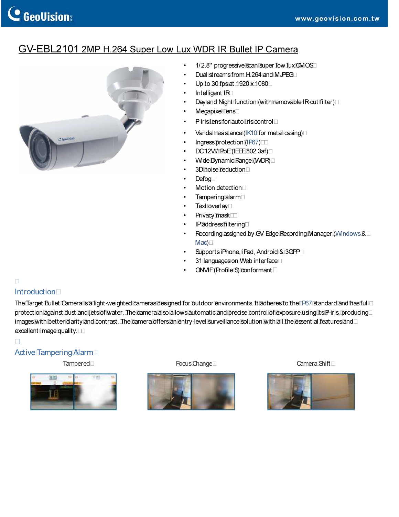# **C** GeoVision

### GV-EBL2101 2MP H.264 Super Low Lux WDR IR Bullet IP Camera



- 1/2.8" progressive scan super low lux CMOS
- Dual streamsfrom H.264 and MJPEG
- Up to 30 fps at 1920 x 1080
- $Intelligent$  IR $\Box$
- Day and Night function (with removable IR-cut filter)
- Megapixel Tens<sup></sup>
- P-irislensforautoliriscontrol
- Vandal resistance<sup>[</sup>/IK10for metal casing)
- Ingressprotection(IP67)
- DC12V/PoE(IEEE802.3af)
- WideDynamicRange(WDR)
- 3Dnoiserreduction
- Defog<sup>[]</sup>
- Motion detection
- **Tamperingalarm**
- Text overlay
- Privacy mask
- IPaddressfiltering
- Recording assigned by GV-Edge Recording Manager (Windows & D Mac)<sup>[1]</sup>
- SupportsiiPhone, iiPad, Android & 3GPP
- 31 languages on Web interface
- ONVIF(ProfileS) conformant

### $\Box$

### **Introduction**

The Target Bullet Camera is allight-weighted cameras designed for outdoor environments. It adherestothe IP67 standard and has full [ protection against dust and jets of water. The camera also allows automatic and precise control of exposure using its P-iris, producing images with better darity and contrast. The camera offers an entry-level surveillance solution with all the essential features and  $\Box$  $excellent$  image quality.  $\Box$ 

### $\Box$

### Active Tampering Alarm







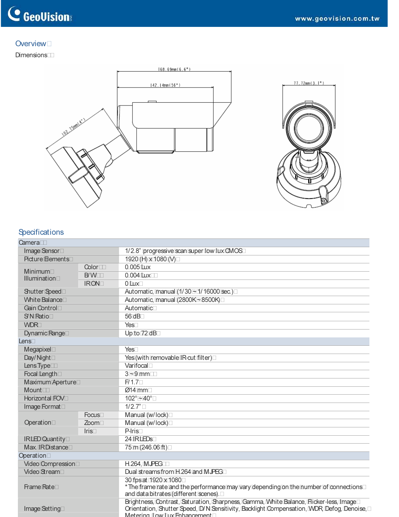## **C** GeoVision

### Overview<sup>[]</sup>

### Dimensions





### **Specifications**

| Camera                                        |                   |                                                                                                                                                                                                                           |
|-----------------------------------------------|-------------------|---------------------------------------------------------------------------------------------------------------------------------------------------------------------------------------------------------------------------|
| Image Sensor                                  |                   | 1/2.8" progressive scan super low lux QMOS                                                                                                                                                                                |
| Picture ⊞ements□                              |                   | 1920(H) x 1080(V)                                                                                                                                                                                                         |
| Minimum <sub>1</sub><br><b>Illumination</b> □ | $\text{Color}$    | $0.005$ Tux                                                                                                                                                                                                               |
|                                               | $B/W \Box$        | $0.004$ Lux $\Box$                                                                                                                                                                                                        |
|                                               | <b>IRON</b>       | 0Lux <sup>1</sup>                                                                                                                                                                                                         |
| Shutter Speed                                 |                   | Automatic, manual [1/30~1/16000 sec.)                                                                                                                                                                                     |
| White Balance <sup>1</sup>                    |                   | Automatic, manual (2800K~8500K)                                                                                                                                                                                           |
| Gain Control                                  |                   | Automatic                                                                                                                                                                                                                 |
| <b>S'N Ratio</b>                              |                   | $56$ dB $\Box$                                                                                                                                                                                                            |
| <b>WDR</b>                                    |                   | Yes                                                                                                                                                                                                                       |
| Dynamic Range                                 |                   | Up to 72 dB                                                                                                                                                                                                               |
| Lens                                          |                   |                                                                                                                                                                                                                           |
| Megapixel                                     |                   | Yes                                                                                                                                                                                                                       |
| Day/Night                                     |                   | Yes <sup>(with removable IR-cut filter)</sup>                                                                                                                                                                             |
| LensType                                      |                   | Varifocal                                                                                                                                                                                                                 |
| Focal Length                                  |                   | $3 - 9$ mm $\Box$                                                                                                                                                                                                         |
| Maximum Aperture                              |                   | F/1.7                                                                                                                                                                                                                     |
| $M$ ount $\Box$                               |                   | $Ø14$ mm $\Box$                                                                                                                                                                                                           |
| Horizontal FOV <sup>I</sup>                   |                   | 102°⊡40°⊟                                                                                                                                                                                                                 |
| Image Format D                                |                   | 1/2.7"                                                                                                                                                                                                                    |
|                                               | Focus             | Manual (w/lock)                                                                                                                                                                                                           |
| Operation                                     | Zoom <sub>□</sub> | Manual (w/lock)                                                                                                                                                                                                           |
|                                               | Iris              | $P-Iris$                                                                                                                                                                                                                  |
| IRLED Quantity                                |                   | 24 <b>RLDs</b>                                                                                                                                                                                                            |
| Max. IRDistance                               |                   | 75m(246.06ft)                                                                                                                                                                                                             |
| Operation                                     |                   |                                                                                                                                                                                                                           |
| Video Compression                             |                   | $H.264$ , MJPEG $\Box$                                                                                                                                                                                                    |
| Video Stream                                  |                   | Dual streamsfrom H.264 and MJPEG                                                                                                                                                                                          |
| Frame Rate <sup>[1]</sup>                     |                   | 30 fps at 1920 x 1080<br>* The frame rate and the performance may vary depending on the number of connections<br>and data bitrates (different scenes).                                                                    |
| Image Setting                                 |                   | Brightness, Contrast, Saturation, Sharpness, Camma, White Balance, Flicker-less, Image<br>Orientation, Shutter Speed, ID/N Sensitivity, Backlight Compensation, IVDR, IDefog, IDenoise, D<br>Metering Dow Dux Enhancement |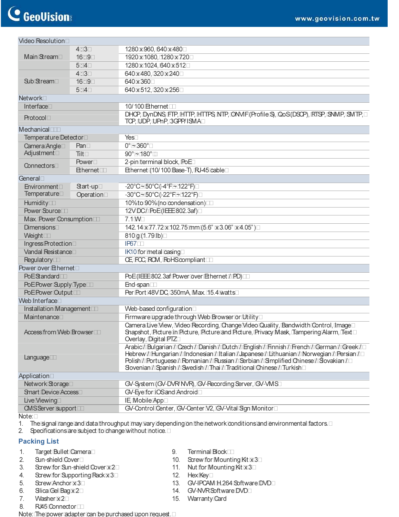| Video Resolution                  |                   |                                                                                                                                                                                                                                                                                                                                                                                                       |
|-----------------------------------|-------------------|-------------------------------------------------------------------------------------------------------------------------------------------------------------------------------------------------------------------------------------------------------------------------------------------------------------------------------------------------------------------------------------------------------|
| Main <b>Stream</b>                | 4:3               | 1280 x 960, 640 x 480                                                                                                                                                                                                                                                                                                                                                                                 |
|                                   | 16 : 9□           | 1920x1080, 1280x720                                                                                                                                                                                                                                                                                                                                                                                   |
|                                   | 5:14              | 1280x1024, 640x512                                                                                                                                                                                                                                                                                                                                                                                    |
|                                   | $4$ $3$           | 640 x 480, 320 x 240                                                                                                                                                                                                                                                                                                                                                                                  |
| $Sub$ <b><i>Stream</i></b>        | 16:19             | 640 x 360                                                                                                                                                                                                                                                                                                                                                                                             |
|                                   | 5:4               | 640 x 512, 320 x 256                                                                                                                                                                                                                                                                                                                                                                                  |
| Network□                          |                   |                                                                                                                                                                                                                                                                                                                                                                                                       |
| Interface <sup>[1]</sup>          |                   | 10/100 田 hernet <u>III</u>                                                                                                                                                                                                                                                                                                                                                                            |
| Protocol□                         |                   | DHCP, DynDNS LFTP, LHTTP, LHTTPS LNTP, CONVIF(ProfileLS), QoS(DSCP), LRTSP, LSNMP, LSMTP, O<br>TOP, WDP, WPnP, 3GPP/ISMAD                                                                                                                                                                                                                                                                             |
| Mechanical                        |                   |                                                                                                                                                                                                                                                                                                                                                                                                       |
| Temperature Detector <sup>1</sup> |                   | Yes⊓                                                                                                                                                                                                                                                                                                                                                                                                  |
| Camera Angle <sup>[1]</sup>       | $Pan \Box$        | 0°™360°                                                                                                                                                                                                                                                                                                                                                                                               |
| Adjustment <sup>[1]</sup>         | Tilt              | 90°~180° <sub>III</sub>                                                                                                                                                                                                                                                                                                                                                                               |
|                                   | <b>Power</b>      | 2-pin terminal block, IPoE                                                                                                                                                                                                                                                                                                                                                                            |
| Connectors                        | $H$ hernet $\Box$ | Ethernet (10/100 Base-T), IRJ-45 cable□                                                                                                                                                                                                                                                                                                                                                               |
| General                           |                   |                                                                                                                                                                                                                                                                                                                                                                                                       |
| Environment                       | <b>Start-up</b> □ | -20°C-150°C(1-4°F-1122°F)                                                                                                                                                                                                                                                                                                                                                                             |
| Temperature                       | Operation         | -30°C2-50°C(-22°F2122°F)                                                                                                                                                                                                                                                                                                                                                                              |
| Humidity                          |                   | 10%to 90% (no condensation)                                                                                                                                                                                                                                                                                                                                                                           |
| Power Source                      |                   | 12VIDC/IPoE(IEEE802.3af)                                                                                                                                                                                                                                                                                                                                                                              |
| Max. Power Consumption            |                   | 7.1 W                                                                                                                                                                                                                                                                                                                                                                                                 |
| <b>Dimensions</b>                 |                   | 142.14 x 77.72 x 102.75 mm (5.6" x 3.06" x 4.05")                                                                                                                                                                                                                                                                                                                                                     |
| Weight $\Box$                     |                   | 810g(1.79tb)□                                                                                                                                                                                                                                                                                                                                                                                         |
| Ingress Protection                |                   | IP67                                                                                                                                                                                                                                                                                                                                                                                                  |
| Vandal Resistance                 |                   | IK10 for metal casing□                                                                                                                                                                                                                                                                                                                                                                                |
| Regulatory                        |                   | CE IFCC, IRCM, IRoHScompliant                                                                                                                                                                                                                                                                                                                                                                         |
| Power over Ethernet D             |                   |                                                                                                                                                                                                                                                                                                                                                                                                       |
| PoEStandard                       |                   | PoE(IEEE802.3af Power over Ethernet ZIPD)                                                                                                                                                                                                                                                                                                                                                             |
| PoE Power Supply Type             |                   | End-span                                                                                                                                                                                                                                                                                                                                                                                              |
| PoEPower Output                   |                   | Per Port 48VDC, 350mA, Max. 15.4 watts                                                                                                                                                                                                                                                                                                                                                                |
| Web Interface                     |                   |                                                                                                                                                                                                                                                                                                                                                                                                       |
| Installation Management III       |                   | Web-based configuration                                                                                                                                                                                                                                                                                                                                                                               |
| Maintenance                       |                   | Firmware upgrade through Web Browser or Utility                                                                                                                                                                                                                                                                                                                                                       |
| Access from Web Browser           |                   | Camera Live View, Video Recording, Change Video Quality, Bandwidth Control, Image<br>Shapshot, Picture in Picture, Picture and Picture, Privacy Mask, Tampering Alarm, Text<br>Overlay, Digital PTZ                                                                                                                                                                                                   |
| Language                          |                   | Arabic / iBulgarian / iCzech / iDanish / iDutch / iEnglish / iEnnish / iErench / iCerman / iCreek / 1<br>Hebrew Zi Hungarian Zi Indonesian Zi Italian ZJapanese Zi Lithuanian Zi Norwegian Zi Persian Zi D<br>Polish [1] [Port uguese [1] [Romanian [1] [Russian [1] [Serbian [1] [S] mplified [Chinese [1] [Slovakian [1] [<br>Sovenian 7 Spanish 7 Swedish 7 Thai 7 Traditional Chinese 7 Turkish 1 |
| Application                       |                   |                                                                                                                                                                                                                                                                                                                                                                                                       |
| Network Storage <sup>1</sup>      |                   | GV-System (GV-DVR/NVR), GV-Recording Server, GV-VMS                                                                                                                                                                                                                                                                                                                                                   |
| Smart Device Access               |                   | GV-Eye for iOSand Android                                                                                                                                                                                                                                                                                                                                                                             |
| LiveMewing                        |                   | IE Mobile App□                                                                                                                                                                                                                                                                                                                                                                                        |
| CMSServer support                 |                   | GV-Control Center, GV-Center V2, GV-Vital Sign Monitor                                                                                                                                                                                                                                                                                                                                                |

Note:

1. The signal range and data throughput may vary depending on the network conditions and environmental factors.

2. Specifications are subject to Change without notice.  $\square$ 

#### Packing List

- 1. Target Bullet Camera<br>2. Sun-shield Cover
- Sun-shield Cover
- 3. Screw for Sun-shield Cover X2
- 4. Screwfor Supporting Rack X3
- 5. Screw Anchor x 3
- 6. Slica Gel Bag x 2
- 7. Washer x2
- 8. RJ45Connector
- Note: The power adapter can be purchased upon request.
- 9. Terminal Block
- 10. ScrewforMountingKit x3
- 11. Nut for Mounting Kit x3
- 12. HexKey
- 13. GV-IPCAM IH.264 Software IDVD
- 14. GV-NVRSoftwareDVD
- 15. Warranty Card